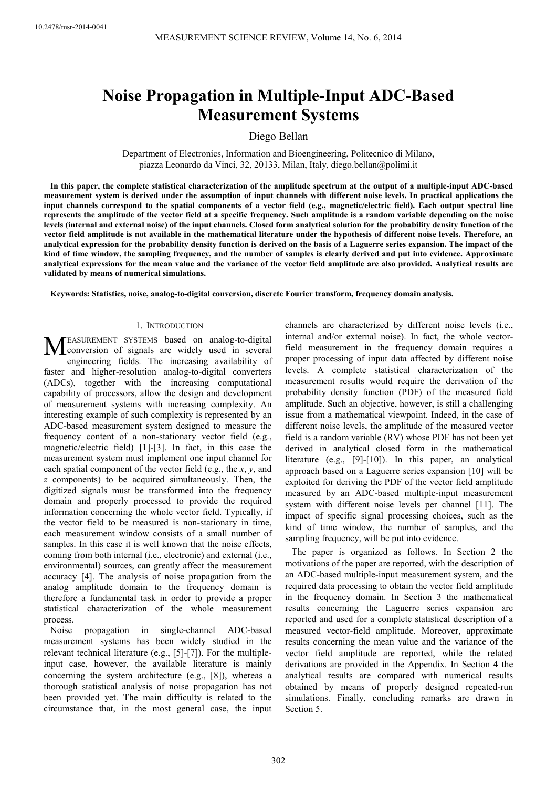# **Noise Propagation in Multiple-Input ADC-Based Measurement Systems**

Diego Bellan

Department of Electronics, Information and Bioengineering, Politecnico di Milano, piazza Leonardo da Vinci, 32, 20133, Milan, Italy, diego.bellan@polimi.it

**In this paper, the complete statistical characterization of the amplitude spectrum at the output of a multiple-input ADC-based measurement system is derived under the assumption of input channels with different noise levels. In practical applications the input channels correspond to the spatial components of a vector field (e.g., magnetic/electric field). Each output spectral line represents the amplitude of the vector field at a specific frequency. Such amplitude is a random variable depending on the noise levels (internal and external noise) of the input channels. Closed form analytical solution for the probability density function of the vector field amplitude is not available in the mathematical literature under the hypothesis of different noise levels. Therefore, an analytical expression for the probability density function is derived on the basis of a Laguerre series expansion. The impact of the kind of time window, the sampling frequency, and the number of samples is clearly derived and put into evidence. Approximate analytical expressions for the mean value and the variance of the vector field amplitude are also provided. Analytical results are validated by means of numerical simulations.** 

**Keywords: Statistics, noise, analog-to-digital conversion, discrete Fourier transform, frequency domain analysis.** 

# 1. INTRODUCTION

EASUREMENT SYSTEMS based on analog-to-digital MEASUREMENT SYSTEMS based on analog-to-digital<br>conversion of signals are widely used in several<br>expansion fields. The increasing qualibility of engineering fields. The increasing availability of faster and higher-resolution analog-to-digital converters (ADCs), together with the increasing computational capability of processors, allow the design and development of measurement systems with increasing complexity. An interesting example of such complexity is represented by an ADC-based measurement system designed to measure the frequency content of a non-stationary vector field (e.g., magnetic/electric field) [1]-[3]. In fact, in this case the measurement system must implement one input channel for each spatial component of the vector field (e.g., the *x*, *y*, and *z* components) to be acquired simultaneously. Then, the digitized signals must be transformed into the frequency domain and properly processed to provide the required information concerning the whole vector field. Typically, if the vector field to be measured is non-stationary in time, each measurement window consists of a small number of samples. In this case it is well known that the noise effects, coming from both internal (i.e., electronic) and external (i.e., environmental) sources, can greatly affect the measurement accuracy [4]. The analysis of noise propagation from the analog amplitude domain to the frequency domain is therefore a fundamental task in order to provide a proper statistical characterization of the whole measurement process.

Noise propagation in single-channel ADC-based measurement systems has been widely studied in the relevant technical literature (e.g., [5]-[7]). For the multipleinput case, however, the available literature is mainly concerning the system architecture (e.g., [8]), whereas a thorough statistical analysis of noise propagation has not been provided yet. The main difficulty is related to the circumstance that, in the most general case, the input

channels are characterized by different noise levels (i.e., internal and/or external noise). In fact, the whole vectorfield measurement in the frequency domain requires a proper processing of input data affected by different noise levels. A complete statistical characterization of the measurement results would require the derivation of the probability density function (PDF) of the measured field amplitude. Such an objective, however, is still a challenging issue from a mathematical viewpoint. Indeed, in the case of different noise levels, the amplitude of the measured vector field is a random variable (RV) whose PDF has not been yet derived in analytical closed form in the mathematical literature (e.g., [9]-[10]). In this paper, an analytical approach based on a Laguerre series expansion [10] will be exploited for deriving the PDF of the vector field amplitude measured by an ADC-based multiple-input measurement system with different noise levels per channel [11]. The impact of specific signal processing choices, such as the kind of time window, the number of samples, and the sampling frequency, will be put into evidence.

The paper is organized as follows. In Section 2 the motivations of the paper are reported, with the description of an ADC-based multiple-input measurement system, and the required data processing to obtain the vector field amplitude in the frequency domain. In Section 3 the mathematical results concerning the Laguerre series expansion are reported and used for a complete statistical description of a measured vector-field amplitude. Moreover, approximate results concerning the mean value and the variance of the vector field amplitude are reported, while the related derivations are provided in the Appendix. In Section 4 the analytical results are compared with numerical results obtained by means of properly designed repeated-run simulations. Finally, concluding remarks are drawn in Section 5.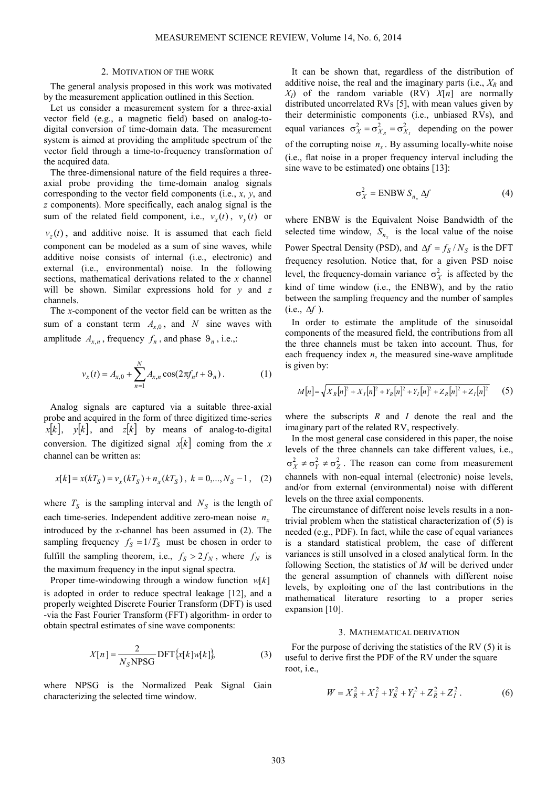#### 2. MOTIVATION OF THE WORK

The general analysis proposed in this work was motivated by the measurement application outlined in this Section.

Let us consider a measurement system for a three-axial vector field (e.g., a magnetic field) based on analog-todigital conversion of time-domain data. The measurement system is aimed at providing the amplitude spectrum of the vector field through a time-to-frequency transformation of the acquired data.

The three-dimensional nature of the field requires a threeaxial probe providing the time-domain analog signals corresponding to the vector field components (i.e., *x*, *y*, and *z* components). More specifically, each analog signal is the sum of the related field component, i.e.,  $v_x(t)$ ,  $v_y(t)$  or

 $v_z(t)$ , and additive noise. It is assumed that each field component can be modeled as a sum of sine waves, while additive noise consists of internal (i.e., electronic) and external (i.e., environmental) noise. In the following sections, mathematical derivations related to the *x* channel will be shown. Similar expressions hold for *y* and *z* channels.

The *x*-component of the vector field can be written as the sum of a constant term  $A_{x,0}$ , and N sine waves with amplitude  $A_{x,n}$ , frequency  $f_n$ , and phase  $\vartheta_n$ , i.e.,:

$$
v_x(t) = A_{x,0} + \sum_{n=1}^{N} A_{x,n} \cos(2\pi f_n t + \vartheta_n).
$$
 (1)

Analog signals are captured via a suitable three-axial probe and acquired in the form of three digitized time-series  $x[k]$ ,  $y[k]$ , and  $z[k]$  by means of analog-to-digital conversion. The digitized signal  $x[k]$  coming from the *x* channel can be written as:

$$
x[k] = x(kT_S) = v_x(kT_S) + n_x(kT_S), \ k = 0,..., N_S - 1, \quad (2)
$$

where  $T<sub>S</sub>$  is the sampling interval and  $N<sub>S</sub>$  is the length of each time-series. Independent additive zero-mean noise  $n_x$ introduced by the *x*-channel has been assumed in (2). The sampling frequency  $f_S = 1/T_S$  must be chosen in order to fulfill the sampling theorem, i.e.,  $f_S > 2f_N$ , where  $f_N$  is the maximum frequency in the input signal spectra.

Proper time-windowing through a window function *w*[*k*] is adopted in order to reduce spectral leakage [12], and a properly weighted Discrete Fourier Transform (DFT) is used -via the Fast Fourier Transform (FFT) algorithm- in order to obtain spectral estimates of sine wave components:

$$
X[n] = \frac{2}{N_S \text{NPSG}} \text{DFT}\{x[k]w[k]\},\tag{3}
$$

where NPSG is the Normalized Peak Signal Gain characterizing the selected time window.

It can be shown that, regardless of the distribution of additive noise, the real and the imaginary parts (i.e., *XR* and *XI*) of the random variable (RV) *X*[*n*] are normally distributed uncorrelated RVs [5], with mean values given by their deterministic components (i.e., unbiased RVs), and equal variances  $\sigma_X^2 = \sigma_{X_R}^2 = \sigma_{X_I}^2$  depending on the power of the corrupting noise  $n_x$ . By assuming locally-white noise (i.e., flat noise in a proper frequency interval including the sine wave to be estimated) one obtains [13]:

$$
\sigma_X^2 = \text{ENBW } S_{n_x} \Delta f \tag{4}
$$

where ENBW is the Equivalent Noise Bandwidth of the selected time window,  $S_{n_x}$  is the local value of the noise Power Spectral Density (PSD), and  $\Delta f = f_S / N_S$  is the DFT frequency resolution. Notice that, for a given PSD noise level, the frequency-domain variance  $\sigma_X^2$  is affected by the kind of time window (i.e., the ENBW), and by the ratio between the sampling frequency and the number of samples  $(i.e., \Delta f)$ .

In order to estimate the amplitude of the sinusoidal components of the measured field, the contributions from all the three channels must be taken into account. Thus, for each frequency index *n*, the measured sine-wave amplitude is given by:

$$
M[n] = \sqrt{X_R[n]^2 + X_I[n]^2 + Y_R[n]^2 + Y_I[n]^2 + Z_R[n]^2 + Z_I[n]^2} \tag{5}
$$

where the subscripts *R* and *I* denote the real and the imaginary part of the related RV, respectively.

In the most general case considered in this paper, the noise levels of the three channels can take different values, i.e.,  $\sigma_X^2 \neq \sigma_Y^2 \neq \sigma_Z^2$ . The reason can come from measurement channels with non-equal internal (electronic) noise levels, and/or from external (environmental) noise with different levels on the three axial components.

The circumstance of different noise levels results in a nontrivial problem when the statistical characterization of (5) is needed (e.g., PDF). In fact, while the case of equal variances is a standard statistical problem, the case of different variances is still unsolved in a closed analytical form. In the following Section, the statistics of *M* will be derived under the general assumption of channels with different noise levels, by exploiting one of the last contributions in the mathematical literature resorting to a proper series expansion [10].

# 3. MATHEMATICAL DERIVATION

For the purpose of deriving the statistics of the RV (5) it is useful to derive first the PDF of the RV under the square root, i.e.,

$$
W = X_R^2 + X_I^2 + Y_R^2 + Y_I^2 + Z_R^2 + Z_I^2.
$$
 (6)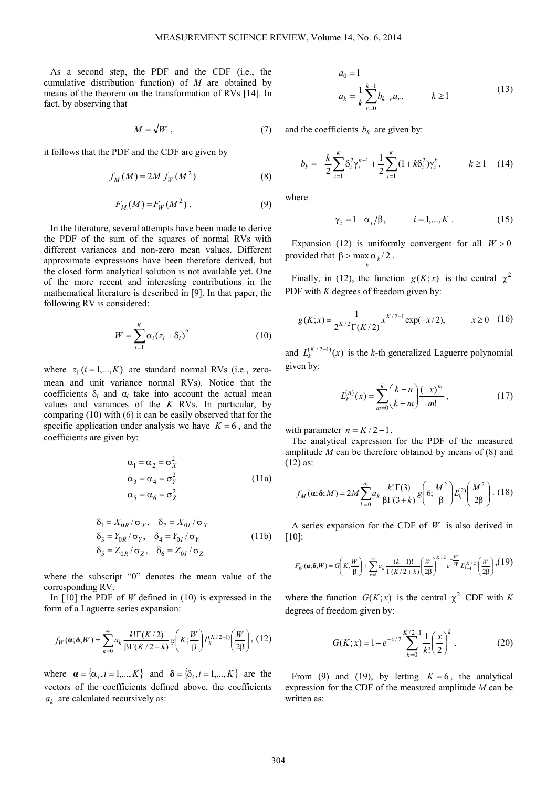As a second step, the PDF and the CDF (i.e., the cumulative distribution function) of *M* are obtained by means of the theorem on the transformation of RVs [14]. In fact, by observing that

$$
M = \sqrt{W} \tag{7}
$$

it follows that the PDF and the CDF are given by

$$
f_M(M) = 2M f_W(M^2)
$$
 (8)

$$
F_M(M) = F_W(M^2) \tag{9}
$$

In the literature, several attempts have been made to derive the PDF of the sum of the squares of normal RVs with different variances and non-zero mean values. Different approximate expressions have been therefore derived, but the closed form analytical solution is not available yet. One of the more recent and interesting contributions in the mathematical literature is described in [9]. In that paper, the following RV is considered:

$$
W = \sum_{i=1}^{K} \alpha_i (z_i + \delta_i)^2
$$
 (10)

where  $z_i$  ( $i = 1,...,K$ ) are standard normal RVs (i.e., zeromean and unit variance normal RVs). Notice that the coefficients  $\delta_i$  and  $\alpha_i$  take into account the actual mean values and variances of the *K* RVs. In particular, by comparing (10) with (6) it can be easily observed that for the specific application under analysis we have  $K = 6$ , and the coefficients are given by:

$$
\alpha_1 = \alpha_2 = \sigma_X^2
$$
  
\n
$$
\alpha_3 = \alpha_4 = \sigma_Y^2
$$
  
\n
$$
\alpha_5 = \alpha_6 = \sigma_Z^2
$$
\n(11a)

$$
\delta_1 = X_{0R} / \sigma_X, \quad \delta_2 = X_{0I} / \sigma_X
$$
  
\n
$$
\delta_3 = Y_{0R} / \sigma_Y, \quad \delta_4 = Y_{0I} / \sigma_Y
$$
  
\n
$$
\delta_5 = Z_{0R} / \sigma_Z, \quad \delta_6 = Z_{0I} / \sigma_Z
$$
\n(11b)

where the subscript "0" denotes the mean value of the corresponding RV.

In [10] the PDF of *W* defined in (10) is expressed in the form of a Laguerre series expansion:

$$
f_W(\boldsymbol{\alpha};\boldsymbol{\delta};W) = \sum_{k=0}^{\infty} a_k \frac{k! \Gamma(K/2)}{\beta \Gamma(K/2+k)} g\left(K; \frac{W}{\beta}\right) L_k^{(K/2-1)}\left(\frac{W}{2\beta}\right), (12)
$$

where  $\boldsymbol{\alpha} = {\alpha_i, i = 1,..., K}$  and  $\boldsymbol{\delta} = {\delta_i, i = 1,..., K}$  are the vectors of the coefficients defined above, the coefficients  $a_k$  are calculated recursively as:

$$
a_0 = 1
$$
  
\n
$$
a_k = \frac{1}{k} \sum_{r=0}^{k-1} b_{k-r} a_r, \qquad k \ge 1
$$
\n(13)

and the coefficients  $b_k$  are given by:

$$
b_k = -\frac{k}{2} \sum_{i=1}^{K} \delta_i^2 \gamma_i^{k-1} + \frac{1}{2} \sum_{i=1}^{K} (1 + k \delta_i^2) \gamma_i^k, \qquad k \ge 1 \quad (14)
$$

where

$$
\gamma_i = 1 - \alpha_i / \beta, \qquad i = 1, \dots, K \tag{15}
$$

Expansion (12) is uniformly convergent for all  $W > 0$ provided that  $β > max α_k/2$ .

*k*

Finally, in (12), the function  $g(K; x)$  is the central  $\chi^2$ PDF with *K* degrees of freedom given by:

$$
g(K;x) = \frac{1}{2^{K/2} \Gamma(K/2)} x^{K/2 - 1} \exp(-x/2), \qquad x \ge 0 \quad (16)
$$

and  $L_k^{(K/2-1)}(x)$  is the *k*-th generalized Laguerre polynomial given by:

$$
L_k^{(n)}(x) = \sum_{m=0}^k {k+n \choose k-m} \frac{(-x)^m}{m!},
$$
 (17)

with parameter  $n = K/2 - 1$ .

The analytical expression for the PDF of the measured amplitude *M* can be therefore obtained by means of (8) and (12) as:

$$
f_M(\boldsymbol{\alpha}; \boldsymbol{\delta}; M) = 2M \sum_{k=0}^{\infty} a_k \frac{k! \Gamma(3)}{\beta \Gamma(3+k)} g\left(6; \frac{M^2}{\beta}\right) L_k^{(2)}\left(\frac{M^2}{2\beta}\right). (18)
$$

A series expansion for the CDF of *W* is also derived in [10]:

$$
F_W(\mathbf{a}; \mathbf{\delta}; W) = G\left(K; \frac{W}{\beta}\right) + \sum_{k=1}^{\infty} a_k \frac{(k-1)!}{\Gamma(K/2+k)} \left(\frac{W}{2\beta}\right)^{K/2} e^{-\frac{W}{2\beta}} L_{k-1}^{(K/2)}\left(\frac{W}{2\beta}\right), (19)
$$

where the function  $G(K; x)$  is the central  $\chi^2$  CDF with *K* degrees of freedom given by:

$$
G(K;x) = 1 - e^{-x/2} \sum_{k=0}^{K/2-1} \frac{1}{k!} \left(\frac{x}{2}\right)^k.
$$
 (20)

From (9) and (19), by letting  $K = 6$ , the analytical expression for the CDF of the measured amplitude *M* can be written as: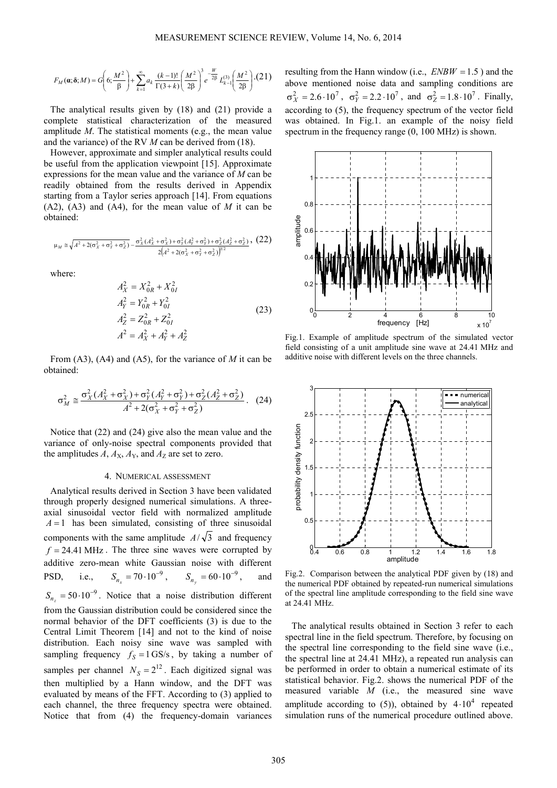$$
F_M(\mathbf{a}; \mathbf{\delta}; M) = G \left( 6; \frac{M^2}{\beta} \right) + \sum_{k=1}^{\infty} a_k \frac{(k-1)!}{\Gamma(3+k)} \left( \frac{M^2}{2\beta} \right)^3 e^{-\frac{W}{2\beta}} L_{k-1}^{(3)} \left( \frac{M^2}{2\beta} \right). (21)
$$

The analytical results given by (18) and (21) provide a complete statistical characterization of the measured amplitude *M*. The statistical moments (e.g., the mean value and the variance) of the RV *M* can be derived from (18).

However, approximate and simpler analytical results could be useful from the application viewpoint [15]. Approximate expressions for the mean value and the variance of *M* can be readily obtained from the results derived in Appendix starting from a Taylor series approach [14]. From equations (A2), (A3) and (A4), for the mean value of *M* it can be obtained:

$$
\mu_M \approx \sqrt{A^2 + 2(\sigma_X^2 + \sigma_Y^2 + \sigma_Z^2)} - \frac{\sigma_X^2 (A_X^2 + \sigma_X^2) + \sigma_Y^2 (A_Y^2 + \sigma_Y^2) + \sigma_Z^2 (A_Z^2 + \sigma_Z^2)}{2(A^2 + 2(\sigma_X^2 + \sigma_Y^2 + \sigma_Z^2))^{3/2}}, (22)
$$

where:

$$
A_X^2 = X_{0R}^2 + X_{0I}^2
$$
  
\n
$$
A_Y^2 = Y_{0R}^2 + Y_{0I}^2
$$
  
\n
$$
A_Z^2 = Z_{0R}^2 + Z_{0I}^2
$$
  
\n
$$
A^2 = A_X^2 + A_Y^2 + A_Z^2
$$
\n(23)

From (A3), (A4) and (A5), for the variance of *M* it can be obtained:

$$
\sigma_M^2 \cong \frac{\sigma_X^2 (A_X^2 + \sigma_X^2) + \sigma_Y^2 (A_Y^2 + \sigma_Y^2) + \sigma_Z^2 (A_Z^2 + \sigma_Z^2)}{A^2 + 2(\sigma_X^2 + \sigma_Y^2 + \sigma_Z^2)}.
$$
 (24)

Notice that (22) and (24) give also the mean value and the variance of only-noise spectral components provided that the amplitudes  $A$ ,  $A_X$ ,  $A_Y$ , and  $A_Z$  are set to zero.

# 4. NUMERICAL ASSESSMENT

Analytical results derived in Section 3 have been validated through properly designed numerical simulations. A threeaxial sinusoidal vector field with normalized amplitude  $A = 1$  has been simulated, consisting of three sinusoidal components with the same amplitude  $A/\sqrt{3}$  and frequency  $f = 24.41 \text{ MHz}$ . The three sine waves were corrupted by additive zero-mean white Gaussian noise with different PSD, i.e.,  $S_{n_x} = 70 \cdot 10^{-9}$ ,  $S_{n_y} = 60 \cdot 10^{-9}$ , and  $S_{n_z} = 50 \cdot 10^{-9}$ . Notice that a noise distribution different from the Gaussian distribution could be considered since the normal behavior of the DFT coefficients (3) is due to the Central Limit Theorem [14] and not to the kind of noise distribution. Each noisy sine wave was sampled with sampling frequency  $f_S = 1$  GS/s, by taking a number of samples per channel  $N_S = 2^{12}$ . Each digitized signal was then multiplied by a Hann window, and the DFT was evaluated by means of the FFT. According to (3) applied to each channel, the three frequency spectra were obtained. Notice that from (4) the frequency-domain variances

resulting from the Hann window (i.e.,  $ENBW = 1.5$ ) and the above mentioned noise data and sampling conditions are  $\sigma_X^2 = 2.6 \cdot 10^7$ ,  $\sigma_Y^2 = 2.2 \cdot 10^7$ , and  $\sigma_Z^2 = 1.8 \cdot 10^7$ . Finally, according to (5), the frequency spectrum of the vector field was obtained. In Fig.1. an example of the noisy field spectrum in the frequency range  $(0, 100 \text{ MHz})$  is shown.



Fig.1. Example of amplitude spectrum of the simulated vector field consisting of a unit amplitude sine wave at 24.41 MHz and additive noise with different levels on the three channels.



Fig.2. Comparison between the analytical PDF given by (18) and the numerical PDF obtained by repeated-run numerical simulations of the spectral line amplitude corresponding to the field sine wave at 24.41 MHz.

The analytical results obtained in Section 3 refer to each spectral line in the field spectrum. Therefore, by focusing on the spectral line corresponding to the field sine wave (i.e., the spectral line at 24.41 MHz), a repeated run analysis can be performed in order to obtain a numerical estimate of its statistical behavior. Fig.2. shows the numerical PDF of the measured variable *M* (i.e., the measured sine wave amplitude according to (5)), obtained by  $4 \cdot 10^4$  repeated simulation runs of the numerical procedure outlined above.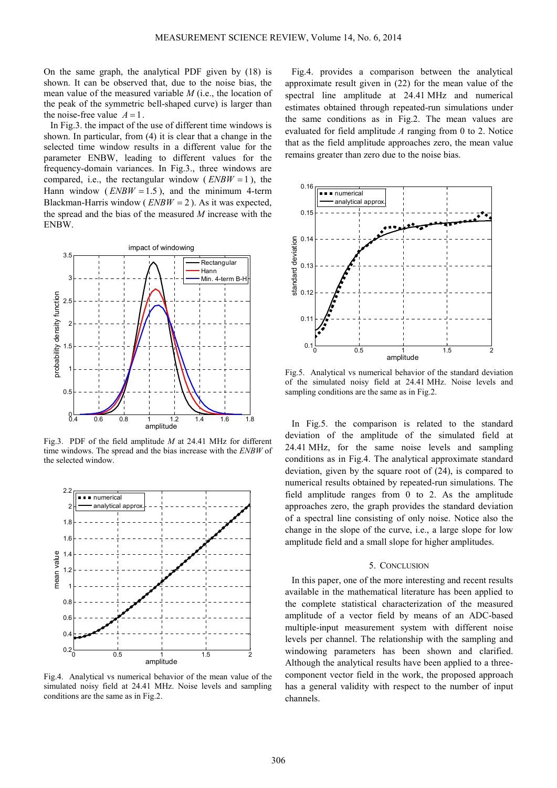On the same graph, the analytical PDF given by (18) is shown. It can be observed that, due to the noise bias, the mean value of the measured variable *M* (i.e., the location of the peak of the symmetric bell-shaped curve) is larger than the noise-free value  $A = 1$ .

In Fig.3. the impact of the use of different time windows is shown. In particular, from (4) it is clear that a change in the selected time window results in a different value for the parameter ENBW, leading to different values for the frequency-domain variances. In Fig.3., three windows are compared, i.e., the rectangular window ( $ENBW = 1$ ), the Hann window  $(ENBW = 1.5)$ , and the minimum 4-term Blackman-Harris window ( $ENBW = 2$ ). As it was expected, the spread and the bias of the measured *M* increase with the ENBW.



Fig.3. PDF of the field amplitude *M* at 24.41 MHz for different time windows. The spread and the bias increase with the *ENBW* of the selected window.



Fig.4. Analytical vs numerical behavior of the mean value of the simulated noisy field at 24.41 MHz. Noise levels and sampling conditions are the same as in Fig.2.

Fig.4. provides a comparison between the analytical approximate result given in (22) for the mean value of the spectral line amplitude at 24.41 MHz and numerical estimates obtained through repeated-run simulations under the same conditions as in Fig.2. The mean values are evaluated for field amplitude *A* ranging from 0 to 2. Notice that as the field amplitude approaches zero, the mean value remains greater than zero due to the noise bias.



Fig.5. Analytical vs numerical behavior of the standard deviation of the simulated noisy field at 24.41 MHz. Noise levels and sampling conditions are the same as in Fig.2.

In Fig.5. the comparison is related to the standard deviation of the amplitude of the simulated field at 24.41 MHz, for the same noise levels and sampling conditions as in Fig.4. The analytical approximate standard deviation, given by the square root of (24), is compared to numerical results obtained by repeated-run simulations. The field amplitude ranges from 0 to 2. As the amplitude approaches zero, the graph provides the standard deviation of a spectral line consisting of only noise. Notice also the change in the slope of the curve, i.e., a large slope for low amplitude field and a small slope for higher amplitudes.

# 5. CONCLUSION

In this paper, one of the more interesting and recent results available in the mathematical literature has been applied to the complete statistical characterization of the measured amplitude of a vector field by means of an ADC-based multiple-input measurement system with different noise levels per channel. The relationship with the sampling and windowing parameters has been shown and clarified. Although the analytical results have been applied to a threecomponent vector field in the work, the proposed approach has a general validity with respect to the number of input channels.